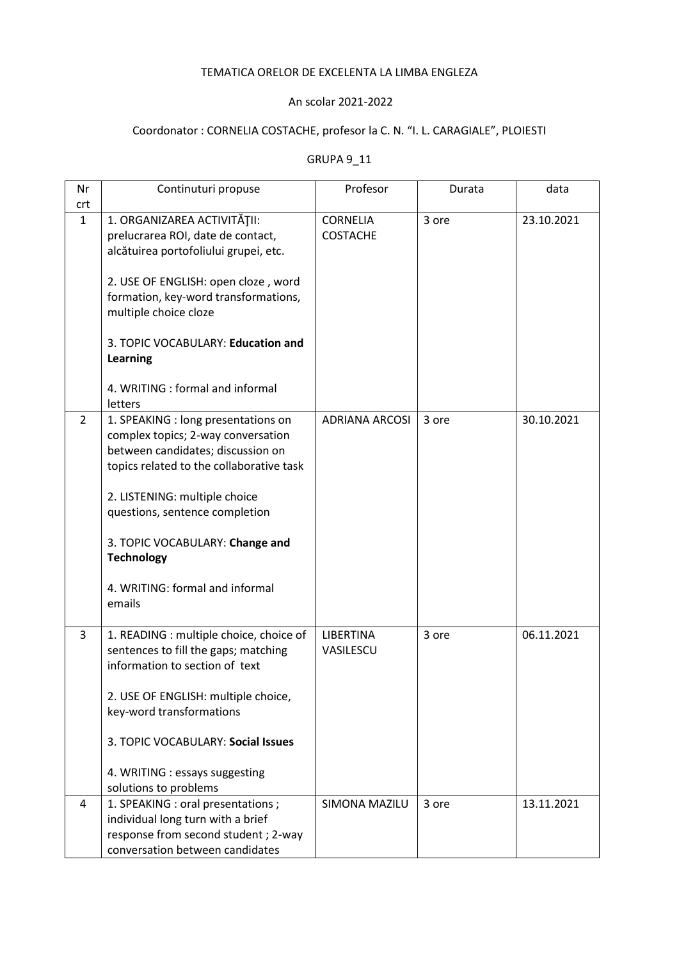## TEMATICA ORELOR DE EXCELENTA LA LIMBA ENGLEZA

## An scolar 2021-2022

## Coordonator : CORNELIA COSTACHE, profesor la C. N. "I. L. CARAGIALE", PLOIESTI

## GRUPA 9\_11

| Nr           | Continuturi propuse                                             | Profesor              | Durata | data       |
|--------------|-----------------------------------------------------------------|-----------------------|--------|------------|
| crt          |                                                                 |                       |        |            |
| $\mathbf{1}$ | 1. ORGANIZAREA ACTIVITĂȚII:                                     | <b>CORNELIA</b>       | 3 ore  | 23.10.2021 |
|              | prelucrarea ROI, date de contact,                               | <b>COSTACHE</b>       |        |            |
|              | alcătuirea portofoliului grupei, etc.                           |                       |        |            |
|              | 2. USE OF ENGLISH: open cloze, word                             |                       |        |            |
|              | formation, key-word transformations,                            |                       |        |            |
|              | multiple choice cloze                                           |                       |        |            |
|              |                                                                 |                       |        |            |
|              | 3. TOPIC VOCABULARY: Education and                              |                       |        |            |
|              | <b>Learning</b>                                                 |                       |        |            |
|              |                                                                 |                       |        |            |
|              | 4. WRITING : formal and informal                                |                       |        |            |
|              | letters                                                         |                       |        |            |
| 2            | 1. SPEAKING : long presentations on                             | <b>ADRIANA ARCOSI</b> | 3 ore  | 30.10.2021 |
|              | complex topics; 2-way conversation                              |                       |        |            |
|              | between candidates; discussion on                               |                       |        |            |
|              | topics related to the collaborative task                        |                       |        |            |
|              |                                                                 |                       |        |            |
|              | 2. LISTENING: multiple choice<br>questions, sentence completion |                       |        |            |
|              |                                                                 |                       |        |            |
|              | 3. TOPIC VOCABULARY: Change and                                 |                       |        |            |
|              | <b>Technology</b>                                               |                       |        |            |
|              |                                                                 |                       |        |            |
|              | 4. WRITING: formal and informal                                 |                       |        |            |
|              | emails                                                          |                       |        |            |
|              |                                                                 |                       |        |            |
| 3            | 1. READING : multiple choice, choice of                         | LIBERTINA             | 3 ore  | 06.11.2021 |
|              | sentences to fill the gaps; matching                            | VASILESCU             |        |            |
|              | information to section of text                                  |                       |        |            |
|              |                                                                 |                       |        |            |
|              | 2. USE OF ENGLISH: multiple choice,<br>key-word transformations |                       |        |            |
|              |                                                                 |                       |        |            |
|              | 3. TOPIC VOCABULARY: Social Issues                              |                       |        |            |
|              |                                                                 |                       |        |            |
|              | 4. WRITING : essays suggesting                                  |                       |        |            |
|              | solutions to problems                                           |                       |        |            |
| 4            | 1. SPEAKING : oral presentations ;                              | SIMONA MAZILU         | 3 ore  | 13.11.2021 |
|              | individual long turn with a brief                               |                       |        |            |
|              | response from second student; 2-way                             |                       |        |            |
|              | conversation between candidates                                 |                       |        |            |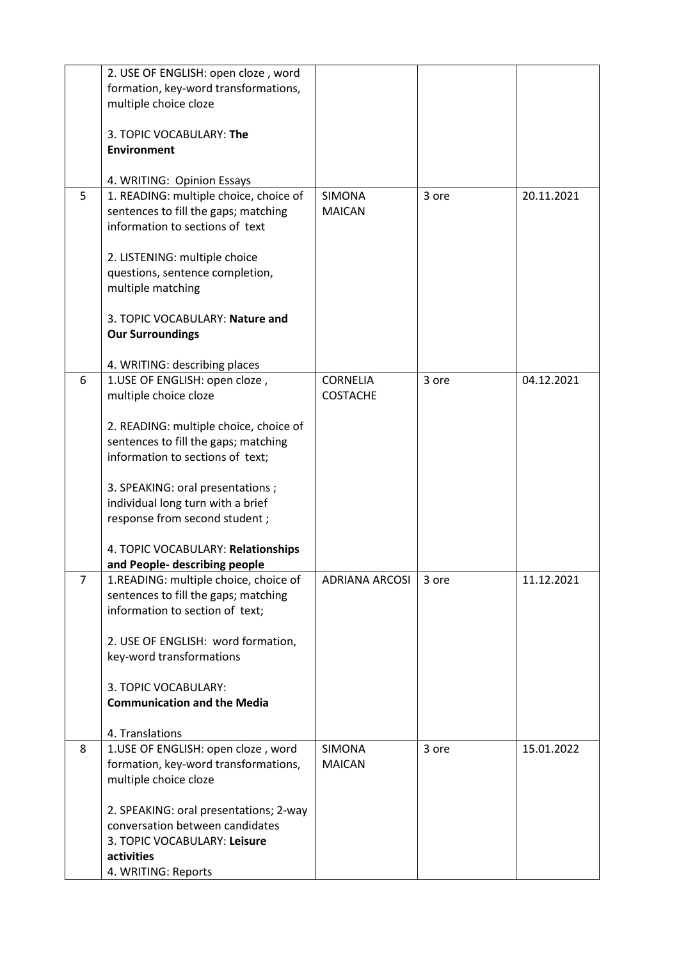|   | 2. USE OF ENGLISH: open cloze, word<br>formation, key-word transformations,                                                                    |                                    |       |            |
|---|------------------------------------------------------------------------------------------------------------------------------------------------|------------------------------------|-------|------------|
|   | multiple choice cloze                                                                                                                          |                                    |       |            |
|   | 3. TOPIC VOCABULARY: The                                                                                                                       |                                    |       |            |
|   | <b>Environment</b>                                                                                                                             |                                    |       |            |
|   | 4. WRITING: Opinion Essays                                                                                                                     |                                    |       |            |
| 5 | 1. READING: multiple choice, choice of<br>sentences to fill the gaps; matching<br>information to sections of text                              | <b>SIMONA</b><br><b>MAICAN</b>     | 3 ore | 20.11.2021 |
|   | 2. LISTENING: multiple choice<br>questions, sentence completion,<br>multiple matching                                                          |                                    |       |            |
|   | 3. TOPIC VOCABULARY: Nature and<br><b>Our Surroundings</b>                                                                                     |                                    |       |            |
|   | 4. WRITING: describing places                                                                                                                  |                                    |       |            |
| 6 | 1.USE OF ENGLISH: open cloze,<br>multiple choice cloze                                                                                         | <b>CORNELIA</b><br><b>COSTACHE</b> | 3 ore | 04.12.2021 |
|   | 2. READING: multiple choice, choice of                                                                                                         |                                    |       |            |
|   | sentences to fill the gaps; matching<br>information to sections of text;                                                                       |                                    |       |            |
|   | 3. SPEAKING: oral presentations;                                                                                                               |                                    |       |            |
|   | individual long turn with a brief<br>response from second student;                                                                             |                                    |       |            |
|   |                                                                                                                                                |                                    |       |            |
|   | 4. TOPIC VOCABULARY: Relationships<br>and People- describing people                                                                            |                                    |       |            |
| 7 | 1.READING: multiple choice, choice of<br>sentences to fill the gaps; matching<br>information to section of text;                               | <b>ADRIANA ARCOSI</b>              | 3 ore | 11.12.2021 |
|   | 2. USE OF ENGLISH: word formation,                                                                                                             |                                    |       |            |
|   | key-word transformations                                                                                                                       |                                    |       |            |
|   | 3. TOPIC VOCABULARY:                                                                                                                           |                                    |       |            |
|   | <b>Communication and the Media</b>                                                                                                             |                                    |       |            |
|   | 4. Translations                                                                                                                                |                                    |       |            |
| 8 | 1.USE OF ENGLISH: open cloze, word<br>formation, key-word transformations,<br>multiple choice cloze                                            | <b>SIMONA</b><br><b>MAICAN</b>     | 3 ore | 15.01.2022 |
|   | 2. SPEAKING: oral presentations; 2-way<br>conversation between candidates<br>3. TOPIC VOCABULARY: Leisure<br>activities<br>4. WRITING: Reports |                                    |       |            |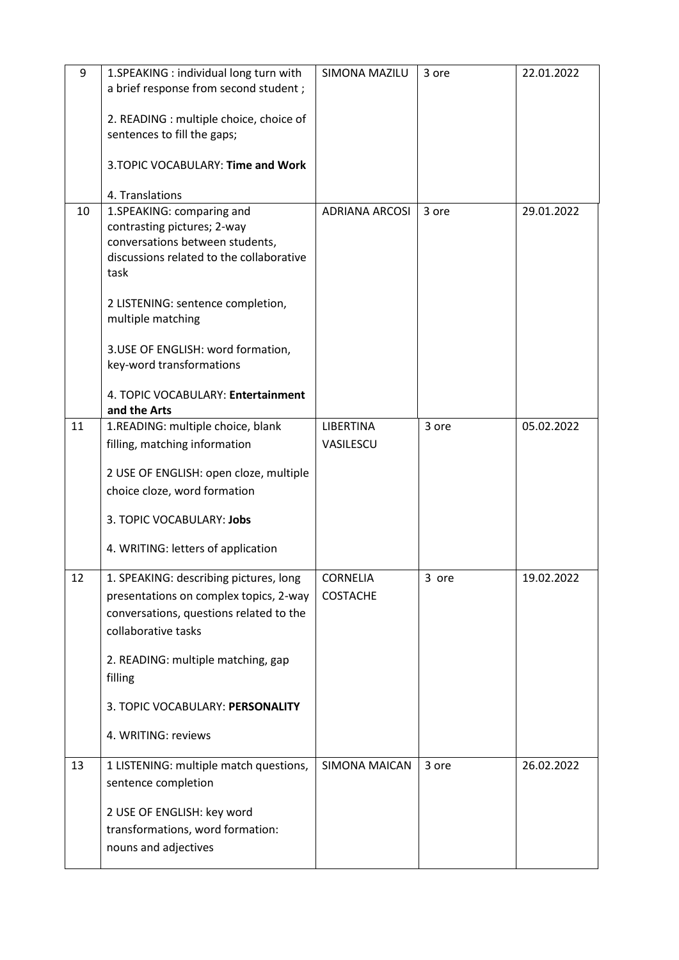| 9  | 1.SPEAKING : individual long turn with<br>a brief response from second student;                                                                    | SIMONA MAZILU                      | 3 ore | 22.01.2022 |
|----|----------------------------------------------------------------------------------------------------------------------------------------------------|------------------------------------|-------|------------|
|    | 2. READING : multiple choice, choice of<br>sentences to fill the gaps;                                                                             |                                    |       |            |
|    | 3. TOPIC VOCABULARY: Time and Work                                                                                                                 |                                    |       |            |
|    | 4. Translations                                                                                                                                    |                                    |       |            |
| 10 | 1.SPEAKING: comparing and<br>contrasting pictures; 2-way<br>conversations between students,<br>discussions related to the collaborative<br>task    | <b>ADRIANA ARCOSI</b>              | 3 ore | 29.01.2022 |
|    | 2 LISTENING: sentence completion,<br>multiple matching                                                                                             |                                    |       |            |
|    | 3.USE OF ENGLISH: word formation,<br>key-word transformations                                                                                      |                                    |       |            |
|    | 4. TOPIC VOCABULARY: Entertainment<br>and the Arts                                                                                                 |                                    |       |            |
| 11 | 1.READING: multiple choice, blank                                                                                                                  | <b>LIBERTINA</b>                   | 3 ore | 05.02.2022 |
|    | filling, matching information                                                                                                                      | VASILESCU                          |       |            |
|    | 2 USE OF ENGLISH: open cloze, multiple<br>choice cloze, word formation                                                                             |                                    |       |            |
|    | 3. TOPIC VOCABULARY: Jobs                                                                                                                          |                                    |       |            |
|    | 4. WRITING: letters of application                                                                                                                 |                                    |       |            |
| 12 | 1. SPEAKING: describing pictures, long<br>presentations on complex topics, 2-way<br>conversations, questions related to the<br>collaborative tasks | <b>CORNELIA</b><br><b>COSTACHE</b> | 3 ore | 19.02.2022 |
|    | 2. READING: multiple matching, gap<br>filling                                                                                                      |                                    |       |            |
|    | 3. TOPIC VOCABULARY: PERSONALITY                                                                                                                   |                                    |       |            |
|    | 4. WRITING: reviews                                                                                                                                |                                    |       |            |
| 13 | 1 LISTENING: multiple match questions,<br>sentence completion                                                                                      | <b>SIMONA MAICAN</b>               | 3 ore | 26.02.2022 |
|    | 2 USE OF ENGLISH: key word<br>transformations, word formation:<br>nouns and adjectives                                                             |                                    |       |            |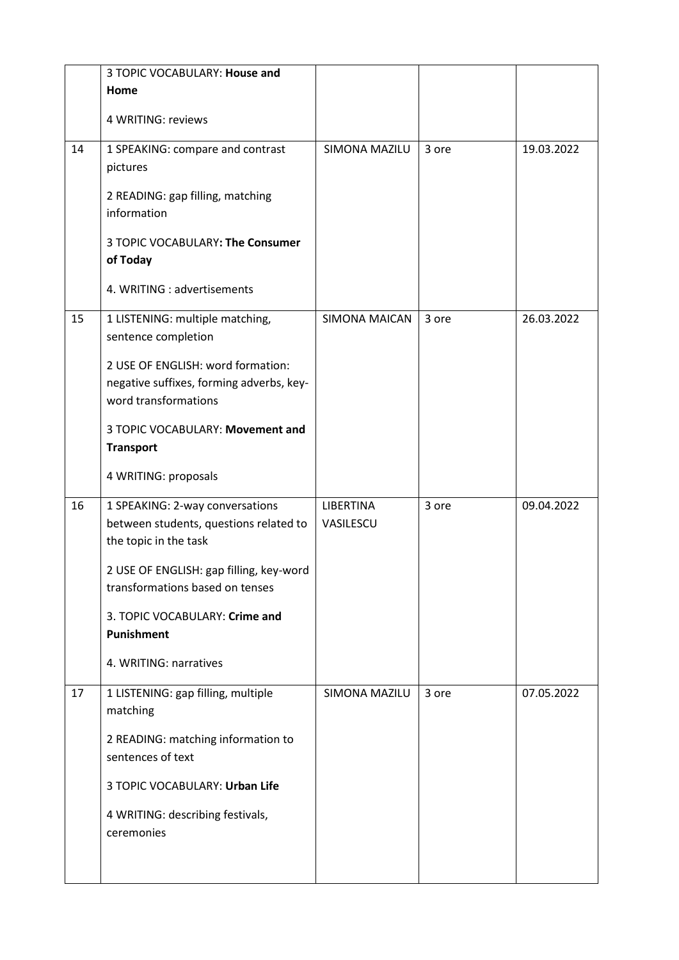|    | 3 TOPIC VOCABULARY: House and                                                                         |                               |       |            |
|----|-------------------------------------------------------------------------------------------------------|-------------------------------|-------|------------|
|    | Home                                                                                                  |                               |       |            |
|    | 4 WRITING: reviews                                                                                    |                               |       |            |
| 14 | 1 SPEAKING: compare and contrast<br>pictures                                                          | SIMONA MAZILU                 | 3 ore | 19.03.2022 |
|    | 2 READING: gap filling, matching<br>information                                                       |                               |       |            |
|    | 3 TOPIC VOCABULARY: The Consumer<br>of Today                                                          |                               |       |            |
|    | 4. WRITING : advertisements                                                                           |                               |       |            |
| 15 | 1 LISTENING: multiple matching,<br>sentence completion                                                | SIMONA MAICAN                 | 3 ore | 26.03.2022 |
|    | 2 USE OF ENGLISH: word formation:<br>negative suffixes, forming adverbs, key-<br>word transformations |                               |       |            |
|    | 3 TOPIC VOCABULARY: Movement and<br><b>Transport</b>                                                  |                               |       |            |
|    | 4 WRITING: proposals                                                                                  |                               |       |            |
| 16 | 1 SPEAKING: 2-way conversations<br>between students, questions related to<br>the topic in the task    | <b>LIBERTINA</b><br>VASILESCU | 3 ore | 09.04.2022 |
|    | 2 USE OF ENGLISH: gap filling, key-word<br>transformations based on tenses                            |                               |       |            |
|    | 3. TOPIC VOCABULARY: Crime and<br>Punishment                                                          |                               |       |            |
|    | 4. WRITING: narratives                                                                                |                               |       |            |
| 17 | 1 LISTENING: gap filling, multiple<br>matching                                                        | SIMONA MAZILU                 | 3 ore | 07.05.2022 |
|    | 2 READING: matching information to<br>sentences of text                                               |                               |       |            |
|    | 3 TOPIC VOCABULARY: Urban Life                                                                        |                               |       |            |
|    | 4 WRITING: describing festivals,<br>ceremonies                                                        |                               |       |            |
|    |                                                                                                       |                               |       |            |